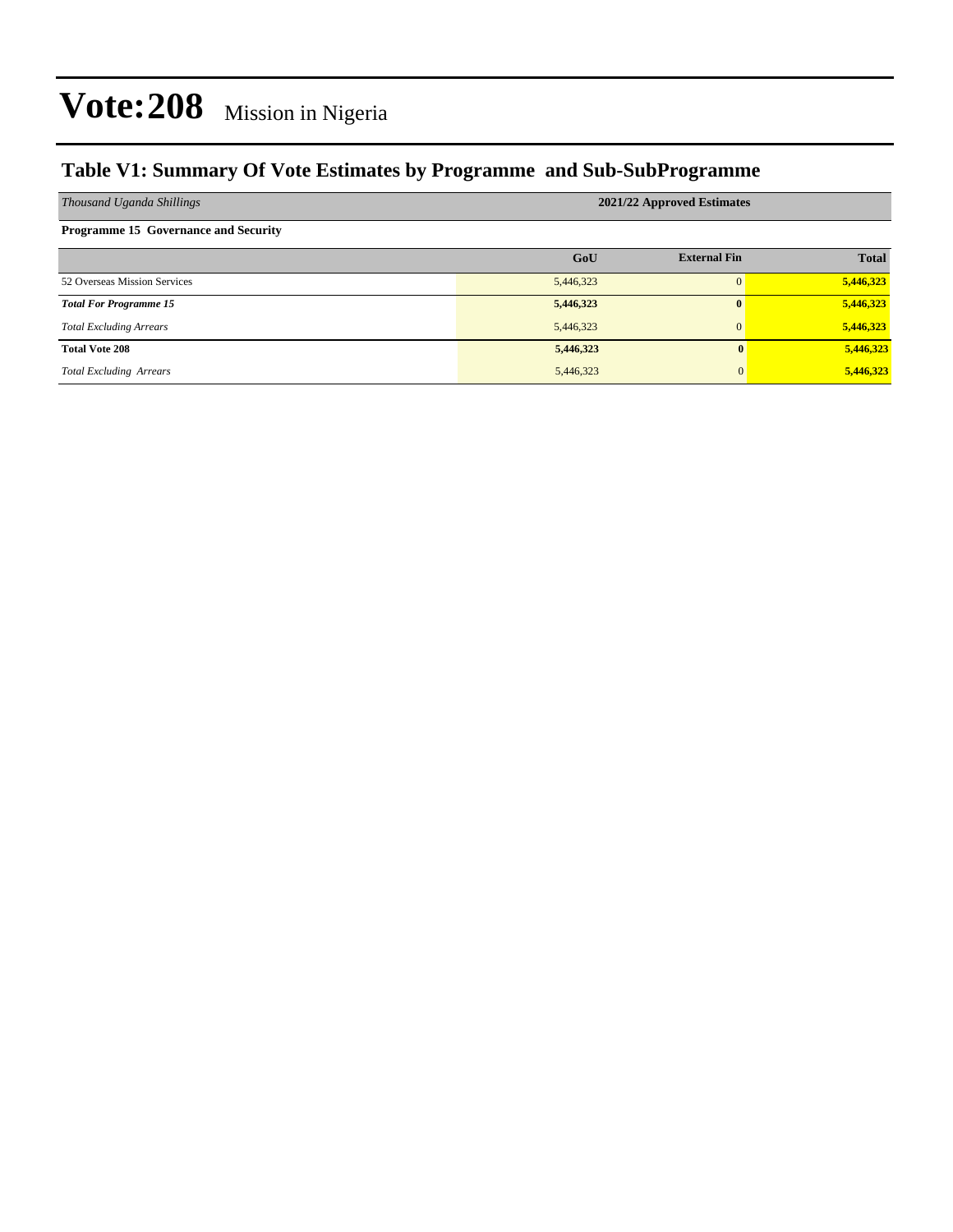### **Table V1: Summary Of Vote Estimates by Programme and Sub-SubProgramme**

| Thousand Uganda Shillings                   | 2021/22 Approved Estimates |                     |              |  |  |  |  |
|---------------------------------------------|----------------------------|---------------------|--------------|--|--|--|--|
| <b>Programme 15 Governance and Security</b> |                            |                     |              |  |  |  |  |
|                                             | GoU                        | <b>External Fin</b> | <b>Total</b> |  |  |  |  |
| 52 Overseas Mission Services                | 5,446,323                  |                     | 5,446,323    |  |  |  |  |
| <b>Total For Programme 15</b>               | 5,446,323                  | 0                   | 5,446,323    |  |  |  |  |
| <b>Total Excluding Arrears</b>              | 5,446,323                  | $\mathbf{0}$        | 5,446,323    |  |  |  |  |
| <b>Total Vote 208</b>                       | 5,446,323                  | 0                   | 5,446,323    |  |  |  |  |
| <b>Total Excluding Arrears</b>              | 5,446,323                  | $\mathbf{0}$        | 5,446,323    |  |  |  |  |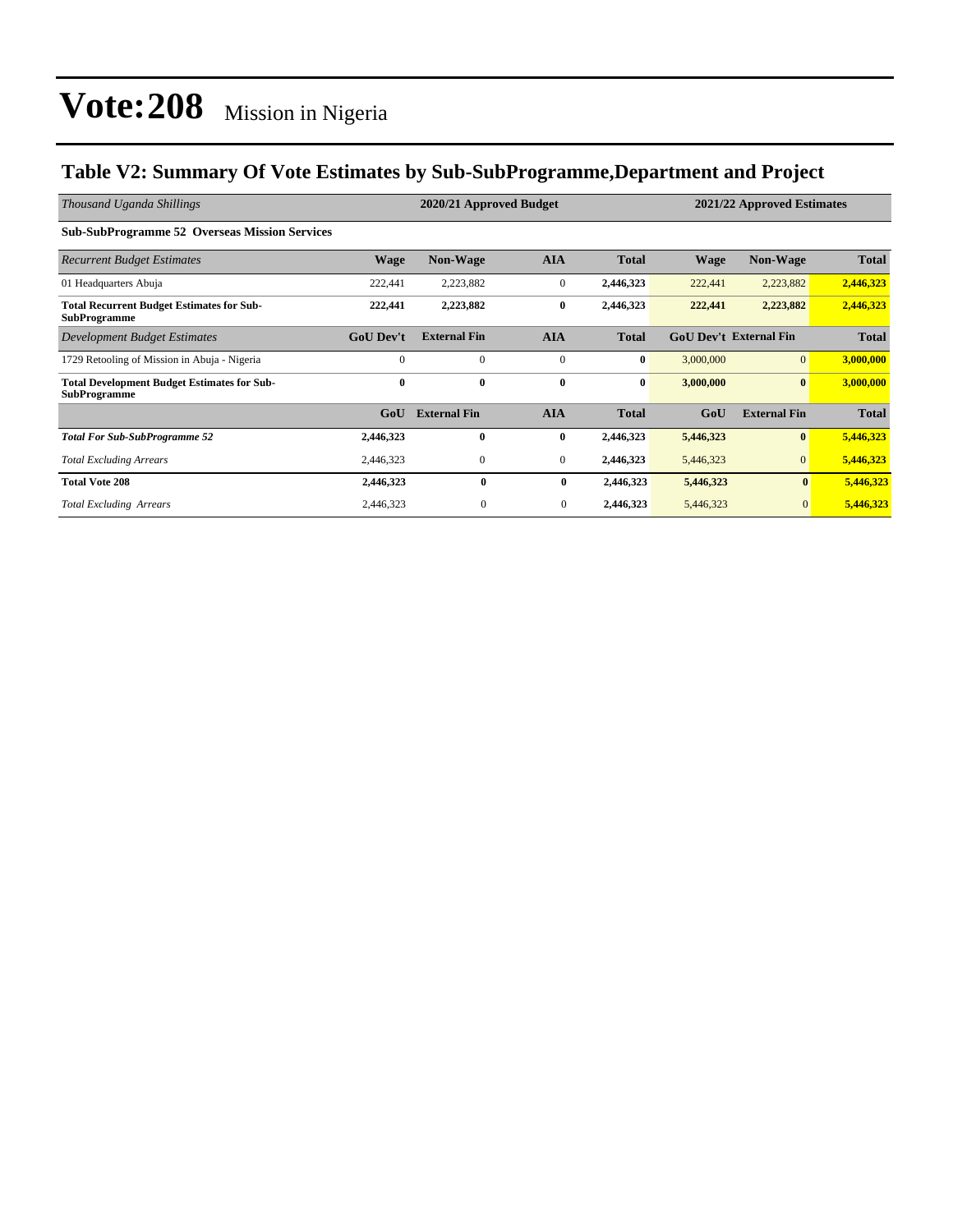### **Table V2: Summary Of Vote Estimates by Sub-SubProgramme,Department and Project**

| Thousand Uganda Shillings                                                 |                  | 2020/21 Approved Budget |                | 2021/22 Approved Estimates |           |                               |              |
|---------------------------------------------------------------------------|------------------|-------------------------|----------------|----------------------------|-----------|-------------------------------|--------------|
| <b>Sub-SubProgramme 52 Overseas Mission Services</b>                      |                  |                         |                |                            |           |                               |              |
| <b>Recurrent Budget Estimates</b>                                         | <b>Wage</b>      | <b>Non-Wage</b>         | <b>AIA</b>     | <b>Total</b>               | Wage      | <b>Non-Wage</b>               | <b>Total</b> |
| 01 Headquarters Abuja                                                     | 222,441          | 2,223,882               | $\mathbf{0}$   | 2,446,323                  | 222,441   | 2,223,882                     | 2,446,323    |
| <b>Total Recurrent Budget Estimates for Sub-</b><br><b>SubProgramme</b>   | 222,441          | 2,223,882               | $\bf{0}$       | 2,446,323                  | 222,441   | 2,223,882                     | 2,446,323    |
| Development Budget Estimates                                              | <b>GoU</b> Dev't | <b>External Fin</b>     | <b>AIA</b>     | <b>Total</b>               |           | <b>GoU Dev't External Fin</b> | <b>Total</b> |
| 1729 Retooling of Mission in Abuja - Nigeria                              | $\Omega$         | $\Omega$                | $\mathbf{0}$   | $\bf{0}$                   | 3,000,000 | $\overline{0}$                | 3,000,000    |
| <b>Total Development Budget Estimates for Sub-</b><br><b>SubProgramme</b> | $\mathbf{0}$     | $\bf{0}$                | $\bf{0}$       | $\bf{0}$                   | 3,000,000 | $\bf{0}$                      | 3,000,000    |
|                                                                           | GoU              | <b>External Fin</b>     | <b>AIA</b>     | <b>Total</b>               | GoU       | <b>External Fin</b>           | <b>Total</b> |
| <b>Total For Sub-SubProgramme 52</b>                                      | 2,446,323        | $\mathbf{0}$            | $\bf{0}$       | 2,446,323                  | 5,446,323 | $\bf{0}$                      | 5,446,323    |
| <b>Total Excluding Arrears</b>                                            | 2,446,323        | $\mathbf{0}$            | $\mathbf{0}$   | 2,446,323                  | 5,446,323 | $\overline{0}$                | 5,446,323    |
| <b>Total Vote 208</b>                                                     | 2,446,323        | $\mathbf{0}$            | $\bf{0}$       | 2,446,323                  | 5,446,323 | $\bf{0}$                      | 5,446,323    |
| <b>Total Excluding Arrears</b>                                            | 2,446,323        | $\boldsymbol{0}$        | $\overline{0}$ | 2,446,323                  | 5,446,323 | $\overline{0}$                | 5,446,323    |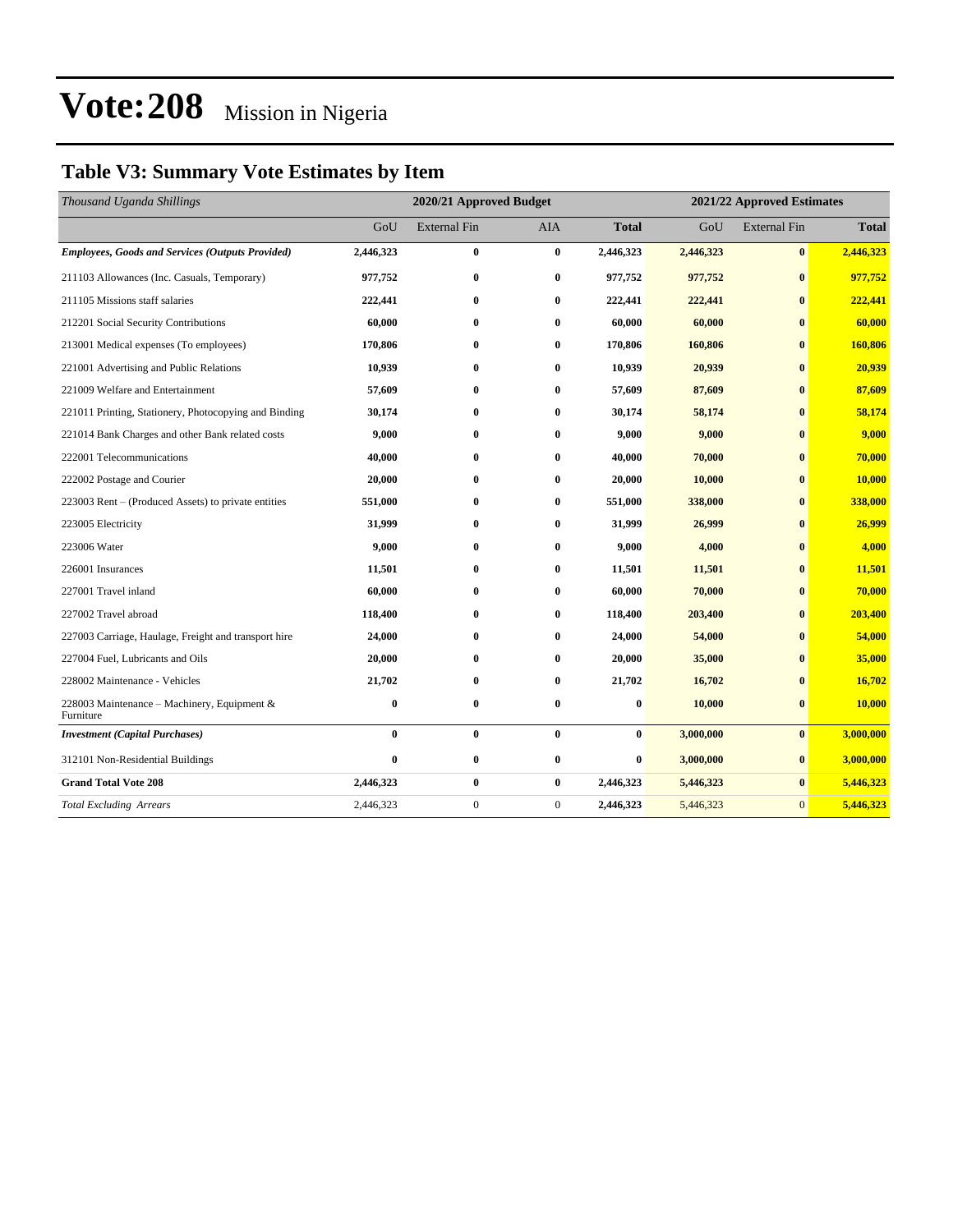### **Table V3: Summary Vote Estimates by Item**

| Thousand Uganda Shillings                                | 2020/21 Approved Budget |                     |              |              | 2021/22 Approved Estimates |                     |              |  |
|----------------------------------------------------------|-------------------------|---------------------|--------------|--------------|----------------------------|---------------------|--------------|--|
|                                                          | GoU                     | <b>External Fin</b> | <b>AIA</b>   | <b>Total</b> | GoU                        | <b>External Fin</b> | <b>Total</b> |  |
| <b>Employees, Goods and Services (Outputs Provided)</b>  | 2,446,323               | $\bf{0}$            | $\bf{0}$     | 2,446,323    | 2,446,323                  | $\bf{0}$            | 2,446,323    |  |
| 211103 Allowances (Inc. Casuals, Temporary)              | 977,752                 | $\bf{0}$            | $\bf{0}$     | 977,752      | 977,752                    | $\bf{0}$            | 977,752      |  |
| 211105 Missions staff salaries                           | 222,441                 | $\bf{0}$            | $\bf{0}$     | 222,441      | 222,441                    | $\mathbf{0}$        | 222,441      |  |
| 212201 Social Security Contributions                     | 60,000                  | $\bf{0}$            | $\bf{0}$     | 60,000       | 60,000                     | $\bf{0}$            | 60,000       |  |
| 213001 Medical expenses (To employees)                   | 170,806                 | $\bf{0}$            | $\bf{0}$     | 170,806      | 160,806                    | $\bf{0}$            | 160,806      |  |
| 221001 Advertising and Public Relations                  | 10,939                  | $\bf{0}$            | $\bf{0}$     | 10,939       | 20,939                     | $\mathbf{0}$        | 20,939       |  |
| 221009 Welfare and Entertainment                         | 57,609                  | $\bf{0}$            | $\bf{0}$     | 57,609       | 87,609                     | $\mathbf{0}$        | 87,609       |  |
| 221011 Printing, Stationery, Photocopying and Binding    | 30,174                  | $\bf{0}$            | $\bf{0}$     | 30,174       | 58,174                     | $\bf{0}$            | 58,174       |  |
| 221014 Bank Charges and other Bank related costs         | 9,000                   | $\bf{0}$            | $\bf{0}$     | 9,000        | 9,000                      | $\bf{0}$            | 9,000        |  |
| 222001 Telecommunications                                | 40,000                  | $\bf{0}$            | $\bf{0}$     | 40,000       | 70,000                     | $\bf{0}$            | 70,000       |  |
| 222002 Postage and Courier                               | 20,000                  | $\bf{0}$            | $\bf{0}$     | 20,000       | 10,000                     | $\bf{0}$            | 10,000       |  |
| 223003 Rent – (Produced Assets) to private entities      | 551,000                 | 0                   | $\bf{0}$     | 551,000      | 338,000                    | $\bf{0}$            | 338,000      |  |
| 223005 Electricity                                       | 31,999                  | $\bf{0}$            | $\bf{0}$     | 31,999       | 26,999                     | $\bf{0}$            | 26,999       |  |
| 223006 Water                                             | 9,000                   | $\bf{0}$            | $\bf{0}$     | 9,000        | 4,000                      | $\bf{0}$            | 4,000        |  |
| 226001 Insurances                                        | 11,501                  | $\bf{0}$            | $\bf{0}$     | 11,501       | 11,501                     | $\bf{0}$            | 11,501       |  |
| 227001 Travel inland                                     | 60,000                  | $\bf{0}$            | $\bf{0}$     | 60,000       | 70,000                     | $\bf{0}$            | 70,000       |  |
| 227002 Travel abroad                                     | 118,400                 | $\bf{0}$            | $\bf{0}$     | 118,400      | 203,400                    | $\bf{0}$            | 203,400      |  |
| 227003 Carriage, Haulage, Freight and transport hire     | 24,000                  | $\bf{0}$            | $\bf{0}$     | 24,000       | 54,000                     | $\mathbf{0}$        | 54,000       |  |
| 227004 Fuel, Lubricants and Oils                         | 20,000                  | $\bf{0}$            | $\bf{0}$     | 20,000       | 35,000                     | $\bf{0}$            | 35,000       |  |
| 228002 Maintenance - Vehicles                            | 21,702                  | $\bf{0}$            | $\bf{0}$     | 21,702       | 16,702                     | $\bf{0}$            | 16,702       |  |
| 228003 Maintenance - Machinery, Equipment &<br>Furniture | $\bf{0}$                | $\bf{0}$            | $\bf{0}$     | 0            | 10,000                     | $\bf{0}$            | 10,000       |  |
| <b>Investment</b> (Capital Purchases)                    | $\bf{0}$                | $\bf{0}$            | $\bf{0}$     | $\bf{0}$     | 3,000,000                  | $\bf{0}$            | 3,000,000    |  |
| 312101 Non-Residential Buildings                         | $\bf{0}$                | $\bf{0}$            | $\bf{0}$     | $\bf{0}$     | 3,000,000                  | $\bf{0}$            | 3,000,000    |  |
| <b>Grand Total Vote 208</b>                              | 2,446,323               | $\bf{0}$            | $\bf{0}$     | 2,446,323    | 5,446,323                  | $\bf{0}$            | 5,446,323    |  |
| <b>Total Excluding Arrears</b>                           | 2,446,323               | $\boldsymbol{0}$    | $\mathbf{0}$ | 2,446,323    | 5,446,323                  | $\mathbf{0}$        | 5,446,323    |  |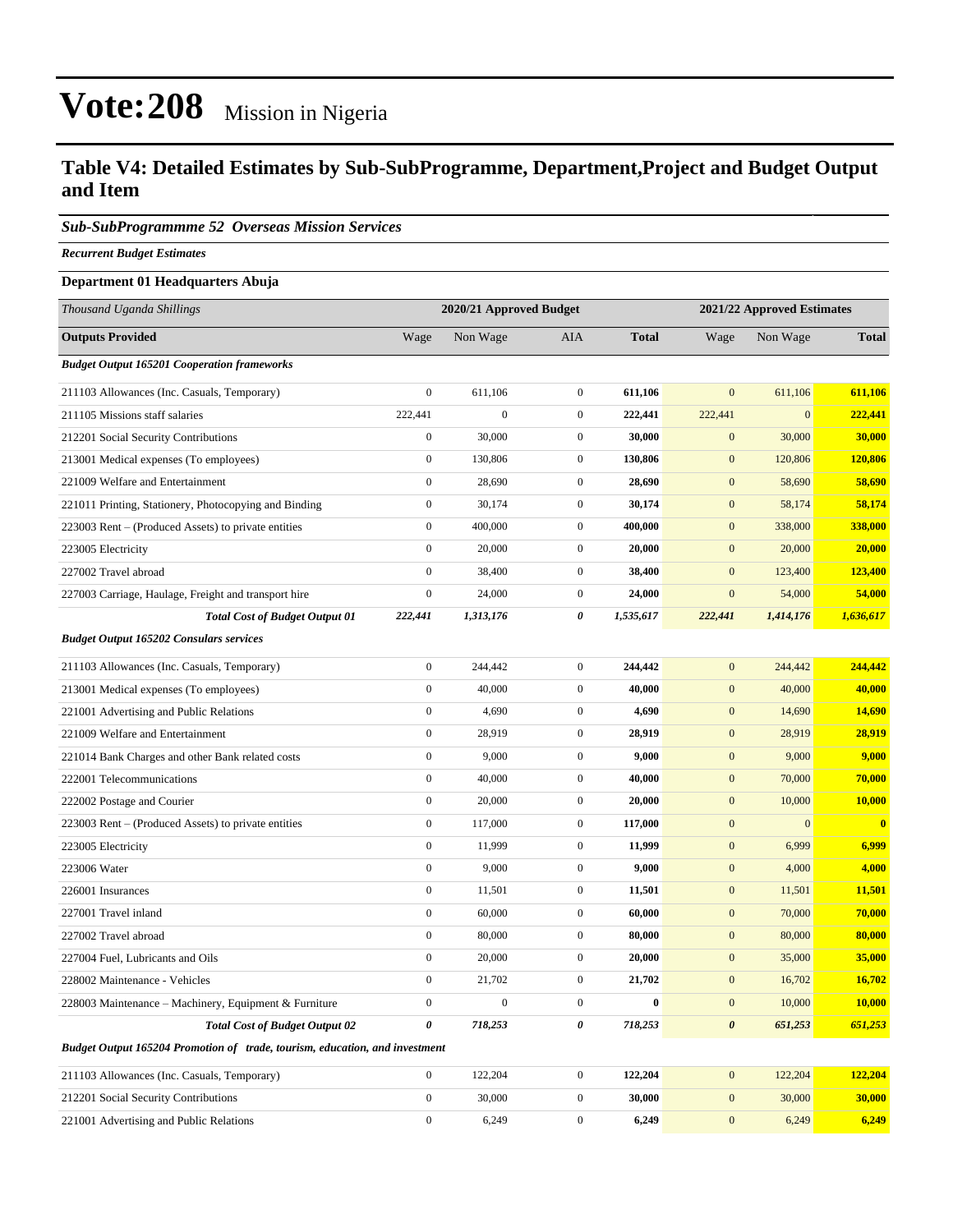#### **Table V4: Detailed Estimates by Sub-SubProgramme, Department,Project and Budget Output and Item**

#### *Sub-SubProgrammme 52 Overseas Mission Services*

*Recurrent Budget Estimates*

#### **Department 01 Headquarters Abuja**

| Thousand Uganda Shillings                                                   | 2020/21 Approved Budget |                  |                  | 2021/22 Approved Estimates |                       |              |              |
|-----------------------------------------------------------------------------|-------------------------|------------------|------------------|----------------------------|-----------------------|--------------|--------------|
| <b>Outputs Provided</b>                                                     | Wage                    | Non Wage         | AIA              | <b>Total</b>               | Wage                  | Non Wage     | <b>Total</b> |
| <b>Budget Output 165201 Cooperation frameworks</b>                          |                         |                  |                  |                            |                       |              |              |
| 211103 Allowances (Inc. Casuals, Temporary)                                 | $\boldsymbol{0}$        | 611,106          | $\overline{0}$   | 611,106                    | $\mathbf{0}$          | 611,106      | 611,106      |
| 211105 Missions staff salaries                                              | 222,441                 | $\boldsymbol{0}$ | $\overline{0}$   | 222,441                    | 222,441               | $\mathbf{0}$ | 222,441      |
| 212201 Social Security Contributions                                        | $\boldsymbol{0}$        | 30,000           | $\mathbf{0}$     | 30,000                     | $\mathbf{0}$          | 30,000       | 30,000       |
| 213001 Medical expenses (To employees)                                      | $\boldsymbol{0}$        | 130,806          | $\overline{0}$   | 130,806                    | $\mathbf{0}$          | 120,806      | 120,806      |
| 221009 Welfare and Entertainment                                            | $\boldsymbol{0}$        | 28,690           | $\boldsymbol{0}$ | 28,690                     | $\mathbf{0}$          | 58,690       | 58,690       |
| 221011 Printing, Stationery, Photocopying and Binding                       | $\boldsymbol{0}$        | 30,174           | $\boldsymbol{0}$ | 30,174                     | $\mathbf{0}$          | 58,174       | 58,174       |
| 223003 Rent – (Produced Assets) to private entities                         | $\boldsymbol{0}$        | 400,000          | $\overline{0}$   | 400,000                    | $\mathbf{0}$          | 338,000      | 338,000      |
| 223005 Electricity                                                          | $\boldsymbol{0}$        | 20,000           | $\mathbf{0}$     | 20,000                     | $\mathbf{0}$          | 20,000       | 20,000       |
| 227002 Travel abroad                                                        | $\boldsymbol{0}$        | 38,400           | $\boldsymbol{0}$ | 38,400                     | $\mathbf{0}$          | 123,400      | 123,400      |
| 227003 Carriage, Haulage, Freight and transport hire                        | $\boldsymbol{0}$        | 24,000           | $\boldsymbol{0}$ | 24,000                     | $\boldsymbol{0}$      | 54,000       | 54,000       |
| <b>Total Cost of Budget Output 01</b>                                       | 222,441                 | 1,313,176        | 0                | 1,535,617                  | 222,441               | 1,414,176    | 1,636,617    |
| <b>Budget Output 165202 Consulars services</b>                              |                         |                  |                  |                            |                       |              |              |
| 211103 Allowances (Inc. Casuals, Temporary)                                 | $\boldsymbol{0}$        | 244,442          | $\boldsymbol{0}$ | 244,442                    | $\mathbf{0}$          | 244,442      | 244,442      |
| 213001 Medical expenses (To employees)                                      | $\boldsymbol{0}$        | 40,000           | $\mathbf{0}$     | 40,000                     | $\mathbf{0}$          | 40,000       | 40,000       |
| 221001 Advertising and Public Relations                                     | $\boldsymbol{0}$        | 4,690            | $\boldsymbol{0}$ | 4,690                      | $\boldsymbol{0}$      | 14,690       | 14,690       |
| 221009 Welfare and Entertainment                                            | $\boldsymbol{0}$        | 28,919           | $\mathbf{0}$     | 28,919                     | $\mathbf{0}$          | 28,919       | 28,919       |
| 221014 Bank Charges and other Bank related costs                            | $\boldsymbol{0}$        | 9,000            | $\overline{0}$   | 9,000                      | $\mathbf{0}$          | 9,000        | 9,000        |
| 222001 Telecommunications                                                   | $\boldsymbol{0}$        | 40,000           | $\boldsymbol{0}$ | 40,000                     | $\mathbf{0}$          | 70,000       | 70,000       |
| 222002 Postage and Courier                                                  | $\boldsymbol{0}$        | 20,000           | $\mathbf{0}$     | 20,000                     | $\mathbf{0}$          | 10,000       | 10,000       |
| 223003 Rent – (Produced Assets) to private entities                         | $\boldsymbol{0}$        | 117,000          | $\boldsymbol{0}$ | 117,000                    | $\boldsymbol{0}$      | $\mathbf{0}$ | $\bf{0}$     |
| 223005 Electricity                                                          | $\boldsymbol{0}$        | 11,999           | $\mathbf{0}$     | 11,999                     | $\mathbf{0}$          | 6,999        | 6,999        |
| 223006 Water                                                                | $\boldsymbol{0}$        | 9,000            | $\mathbf{0}$     | 9,000                      | $\mathbf{0}$          | 4,000        | 4,000        |
| 226001 Insurances                                                           | $\boldsymbol{0}$        | 11,501           | $\boldsymbol{0}$ | 11,501                     | $\mathbf{0}$          | 11,501       | 11,501       |
| 227001 Travel inland                                                        | $\boldsymbol{0}$        | 60,000           | $\mathbf{0}$     | 60,000                     | $\mathbf{0}$          | 70,000       | 70,000       |
| 227002 Travel abroad                                                        | $\boldsymbol{0}$        | 80,000           | $\overline{0}$   | 80,000                     | $\boldsymbol{0}$      | 80,000       | 80,000       |
| 227004 Fuel, Lubricants and Oils                                            | $\boldsymbol{0}$        | 20,000           | $\mathbf{0}$     | 20,000                     | $\mathbf{0}$          | 35,000       | 35,000       |
| 228002 Maintenance - Vehicles                                               | $\boldsymbol{0}$        | 21,702           | $\mathbf{0}$     | 21,702                     | $\mathbf{0}$          | 16,702       | 16,702       |
| 228003 Maintenance - Machinery, Equipment & Furniture                       | $\boldsymbol{0}$        | $\boldsymbol{0}$ | $\overline{0}$   | $\bf{0}$                   | $\mathbf{0}$          | 10,000       | 10,000       |
| <b>Total Cost of Budget Output 02</b>                                       | $\boldsymbol{\theta}$   | 718,253          | 0                | 718,253                    | $\boldsymbol{\theta}$ | 651,253      | 651,253      |
| Budget Output 165204 Promotion of trade, tourism, education, and investment |                         |                  |                  |                            |                       |              |              |
| 211103 Allowances (Inc. Casuals, Temporary)                                 | $\boldsymbol{0}$        | 122,204          | $\mathbf{0}$     | 122,204                    | $\mathbf{0}$          | 122,204      | 122,204      |
| 212201 Social Security Contributions                                        | $\mathbf{0}$            | 30,000           | $\boldsymbol{0}$ | 30,000                     | $\mathbf{0}$          | 30,000       | 30,000       |
| 221001 Advertising and Public Relations                                     | $\boldsymbol{0}$        | 6,249            | $\boldsymbol{0}$ | 6,249                      | $\mathbf{0}$          | 6,249        | 6,249        |